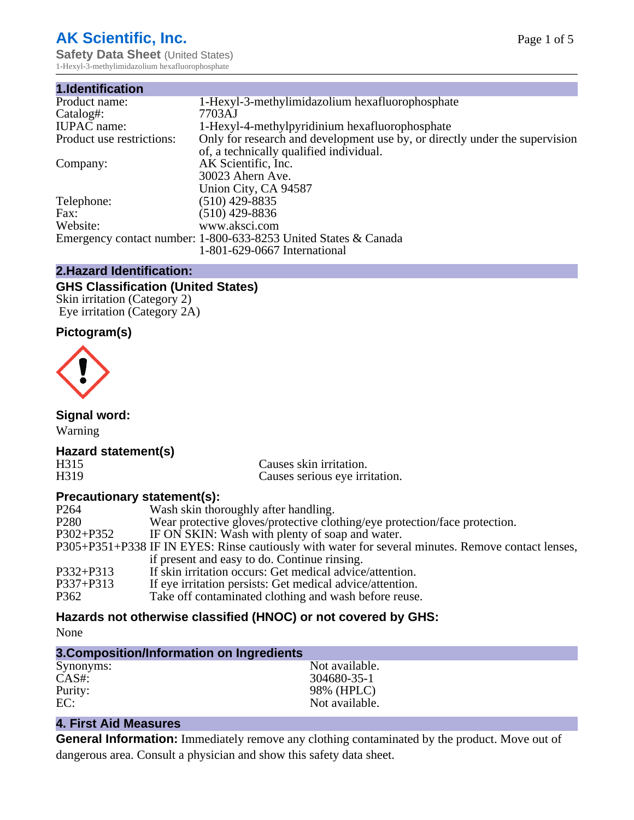# **AK Scientific, Inc.**

**Safety Data Sheet (United States)** 1-Hexyl-3-methylimidazolium hexafluorophosphate

| 1.Identification          |                                                                             |
|---------------------------|-----------------------------------------------------------------------------|
| Product name:             | 1-Hexyl-3-methylimidazolium hexafluorophosphate                             |
| Catalog#:                 | 7703AJ                                                                      |
| <b>IUPAC</b> name:        | 1-Hexyl-4-methylpyridinium hexafluorophosphate                              |
| Product use restrictions: | Only for research and development use by, or directly under the supervision |
|                           | of, a technically qualified individual.                                     |
| Company:                  | AK Scientific, Inc.                                                         |
|                           | 30023 Ahern Ave.                                                            |
|                           | Union City, CA 94587                                                        |
| Telephone:                | $(510)$ 429-8835                                                            |
| Fax:                      | $(510)$ 429-8836                                                            |
| Website:                  | www.aksci.com                                                               |
|                           | Emergency contact number: 1-800-633-8253 United States & Canada             |
|                           | 1-801-629-0667 International                                                |

#### **2.Hazard Identification:**

# **GHS Classification (United States)**

Skin irritation (Category 2) Eye irritation (Category 2A)

# **Pictogram(s)**



**Signal word:**

Warning

# **Hazard statement(s)**

H315 Causes skin irritation.<br>
H319 Causes serious eve irri Causes serious eye irritation.

# **Precautionary statement(s):**

| P <sub>264</sub> | Wash skin thoroughly after handling.                                                               |
|------------------|----------------------------------------------------------------------------------------------------|
| P <sub>280</sub> | Wear protective gloves/protective clothing/eye protection/face protection.                         |
| $P302 + P352$    | IF ON SKIN: Wash with plenty of soap and water.                                                    |
|                  | P305+P351+P338 IF IN EYES: Rinse cautiously with water for several minutes. Remove contact lenses, |
|                  | if present and easy to do. Continue rinsing.                                                       |
| $P332 + P313$    | If skin irritation occurs: Get medical advice/attention.                                           |
| $P337 + P313$    | If eye irritation persists: Get medical advice/attention.                                          |
| P362             | Take off contaminated clothing and wash before reuse.                                              |
|                  |                                                                                                    |

# **Hazards not otherwise classified (HNOC) or not covered by GHS:**

None

| 3. Composition/Information on Ingredients |                |  |
|-------------------------------------------|----------------|--|
| Synonyms:                                 | Not available. |  |
| CAS#                                      | 304680-35-1    |  |
| Purity:                                   | 98% (HPLC)     |  |
| EC:                                       | Not available. |  |

# **4. First Aid Measures**

**General Information:** Immediately remove any clothing contaminated by the product. Move out of dangerous area. Consult a physician and show this safety data sheet.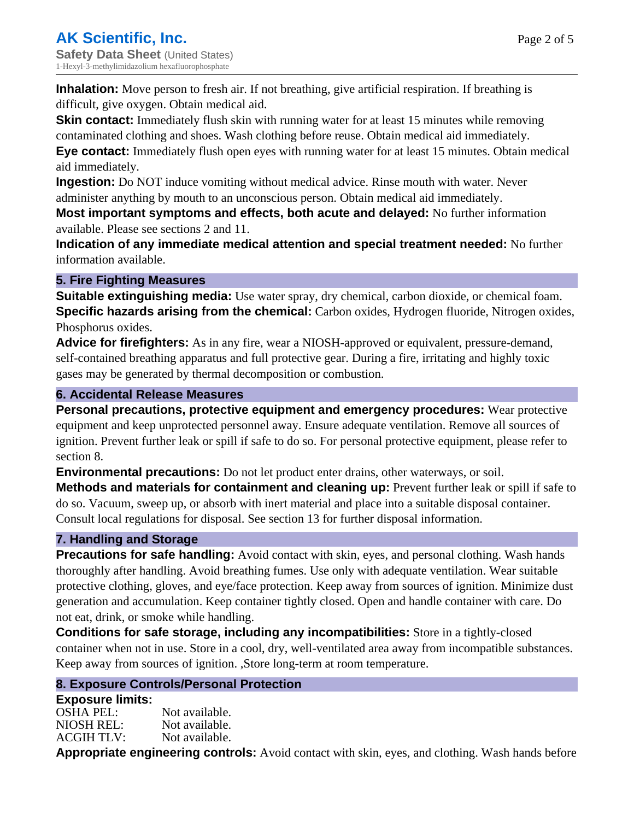Page 2 of 5

**Inhalation:** Move person to fresh air. If not breathing, give artificial respiration. If breathing is difficult, give oxygen. Obtain medical aid.

**Skin contact:** Immediately flush skin with running water for at least 15 minutes while removing contaminated clothing and shoes. Wash clothing before reuse. Obtain medical aid immediately. **Eye contact:** Immediately flush open eyes with running water for at least 15 minutes. Obtain medical

aid immediately.

**Ingestion:** Do NOT induce vomiting without medical advice. Rinse mouth with water. Never administer anything by mouth to an unconscious person. Obtain medical aid immediately.

**Most important symptoms and effects, both acute and delayed:** No further information available. Please see sections 2 and 11.

**Indication of any immediate medical attention and special treatment needed:** No further information available.

## **5. Fire Fighting Measures**

**Suitable extinguishing media:** Use water spray, dry chemical, carbon dioxide, or chemical foam. **Specific hazards arising from the chemical:** Carbon oxides, Hydrogen fluoride, Nitrogen oxides, Phosphorus oxides.

**Advice for firefighters:** As in any fire, wear a NIOSH-approved or equivalent, pressure-demand, self-contained breathing apparatus and full protective gear. During a fire, irritating and highly toxic gases may be generated by thermal decomposition or combustion.

## **6. Accidental Release Measures**

**Personal precautions, protective equipment and emergency procedures:** Wear protective equipment and keep unprotected personnel away. Ensure adequate ventilation. Remove all sources of ignition. Prevent further leak or spill if safe to do so. For personal protective equipment, please refer to section 8.

**Environmental precautions:** Do not let product enter drains, other waterways, or soil.

**Methods and materials for containment and cleaning up:** Prevent further leak or spill if safe to do so. Vacuum, sweep up, or absorb with inert material and place into a suitable disposal container. Consult local regulations for disposal. See section 13 for further disposal information.

# **7. Handling and Storage**

**Precautions for safe handling:** Avoid contact with skin, eyes, and personal clothing. Wash hands thoroughly after handling. Avoid breathing fumes. Use only with adequate ventilation. Wear suitable protective clothing, gloves, and eye/face protection. Keep away from sources of ignition. Minimize dust generation and accumulation. Keep container tightly closed. Open and handle container with care. Do not eat, drink, or smoke while handling.

**Conditions for safe storage, including any incompatibilities:** Store in a tightly-closed container when not in use. Store in a cool, dry, well-ventilated area away from incompatible substances. Keep away from sources of ignition. ,Store long-term at room temperature.

# **8. Exposure Controls/Personal Protection**

## **Exposure limits:**

OSHA PEL: Not available. NIOSH REL: Not available. ACGIH TLV: Not available.

**Appropriate engineering controls:** Avoid contact with skin, eyes, and clothing. Wash hands before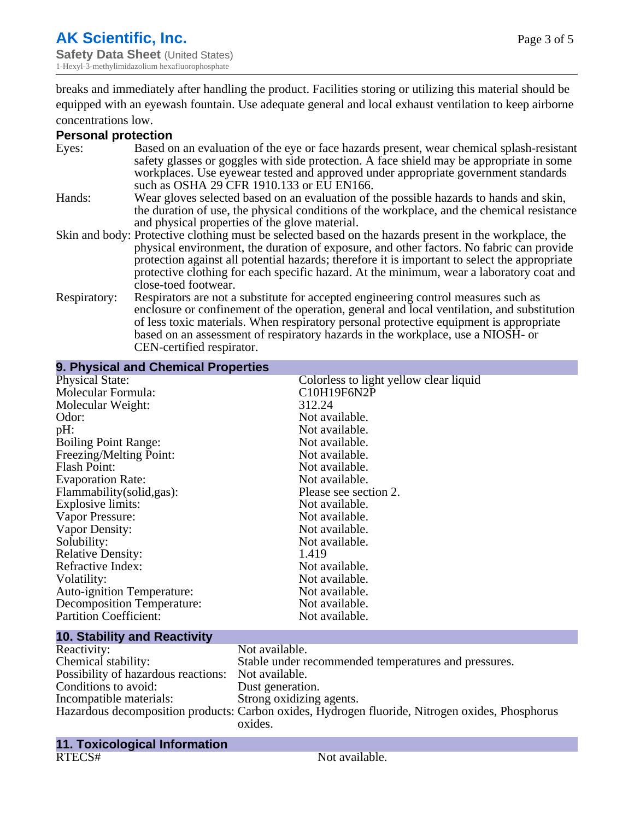breaks and immediately after handling the product. Facilities storing or utilizing this material should be equipped with an eyewash fountain. Use adequate general and local exhaust ventilation to keep airborne concentrations low.

#### **Personal protection**

| Eyes:        | Based on an evaluation of the eye or face hazards present, wear chemical splash-resistant<br>safety glasses or goggles with side protection. A face shield may be appropriate in some<br>workplaces. Use eyewear tested and approved under appropriate government standards<br>such as OSHA 29 CFR 1910.133 or EU EN166.                                                                                                |
|--------------|-------------------------------------------------------------------------------------------------------------------------------------------------------------------------------------------------------------------------------------------------------------------------------------------------------------------------------------------------------------------------------------------------------------------------|
| Hands:       | Wear gloves selected based on an evaluation of the possible hazards to hands and skin,<br>the duration of use, the physical conditions of the workplace, and the chemical resistance<br>and physical properties of the glove material.                                                                                                                                                                                  |
|              | Skin and body: Protective clothing must be selected based on the hazards present in the workplace, the<br>physical environment, the duration of exposure, and other factors. No fabric can provide<br>protection against all potential hazards; therefore it is important to select the appropriate<br>protective clothing for each specific hazard. At the minimum, wear a laboratory coat and<br>close-toed footwear. |
| Respiratory: | Respirators are not a substitute for accepted engineering control measures such as<br>enclosure or confinement of the operation, general and local ventilation, and substitution<br>of less toxic materials. When respiratory personal protective equipment is appropriate<br>based on an assessment of respiratory hazards in the workplace, use a NIOSH- or<br>CEN-certified respirator.                              |

| 9. Physical and Chemical Properties |                                        |
|-------------------------------------|----------------------------------------|
| <b>Physical State:</b>              | Colorless to light yellow clear liquid |
| Molecular Formula:                  | C10H19F6N2P                            |
| Molecular Weight:                   | 312.24                                 |
| Odor:                               | Not available.                         |
| pH:                                 | Not available.                         |
| <b>Boiling Point Range:</b>         | Not available.                         |
| Freezing/Melting Point:             | Not available.                         |
| <b>Flash Point:</b>                 | Not available.                         |
| <b>Evaporation Rate:</b>            | Not available.                         |
| Flammability(solid,gas):            | Please see section 2.                  |
| Explosive limits:                   | Not available.                         |
| Vapor Pressure:                     | Not available.                         |
| Vapor Density:                      | Not available.                         |
| Solubility:                         | Not available.                         |
| <b>Relative Density:</b>            | 1.419                                  |
| Refractive Index:                   | Not available.                         |
| Volatility:                         | Not available.                         |
| <b>Auto-ignition Temperature:</b>   | Not available.                         |
| Decomposition Temperature:          | Not available.                         |
| <b>Partition Coefficient:</b>       | Not available.                         |
|                                     |                                        |

#### **10. Stability and Reactivity** Reactivity: Not available.<br>
Chemical stability: Stable under re Stable under recommended temperatures and pressures.<br>Not available. Possibility of hazardous reactions: Conditions to avoid:<br>
Incompatible materials:<br>
Strong oxidizing Strong oxidizing agents. Hazardous decomposition products: Carbon oxides, Hydrogen fluoride, Nitrogen oxides, Phosphorus oxides.

#### **11. Toxicological Information** RTECS# Not available.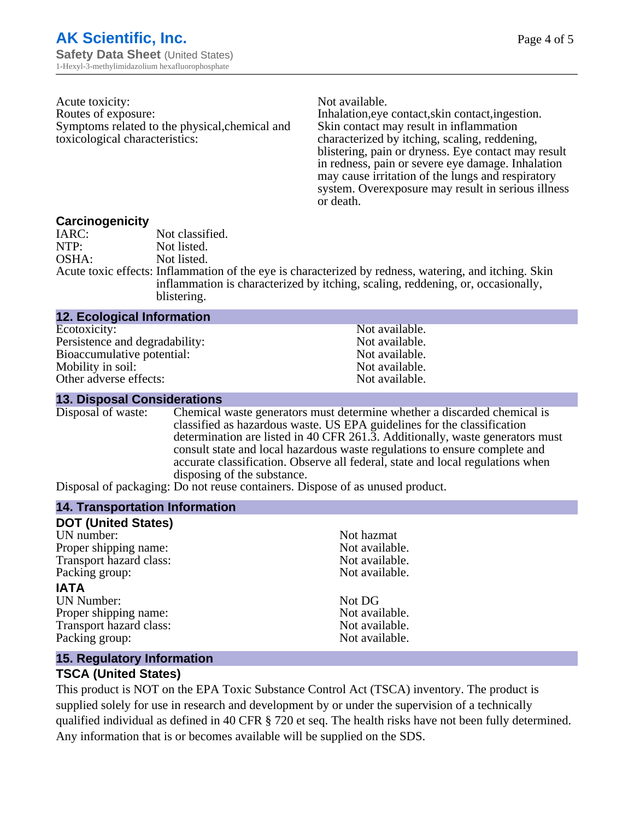Page 4 of 5

| Acute toxicity:                                |
|------------------------------------------------|
| Routes of exposure:                            |
| Symptoms related to the physical, chemical and |
| toxicological characteristics:                 |

Not available.

Inhalation,eye contact, skin contact, ingestion. Skin contact may result in inflammation characterized by itching, scaling, reddening, blistering, pain or dryness. Eye contact may result in redness, pain or severe eye damage. Inhalation may cause irritation of the lungs and respiratory system. Overexposure may result in serious illness or death.

#### **Carcinogenicity**

| IARC: | Not classified.                                                                                       |
|-------|-------------------------------------------------------------------------------------------------------|
| NTP:  | Not listed.                                                                                           |
| OSHA: | Not listed.                                                                                           |
|       | Acute toxic effects: Inflammation of the eye is characterized by redness, watering, and itching. Skin |
|       | inflammation is characterized by itching, scaling, reddening, or, occasionally,                       |
|       | blistering.                                                                                           |

| <b>12. Ecological Information</b> |                |
|-----------------------------------|----------------|
| Ecotoxicity:                      | Not available. |
| Persistence and degradability:    | Not available. |
| Bioaccumulative potential:        | Not available. |
| Mobility in soil:                 | Not available. |
| Other adverse effects:            | Not available. |

#### **13. Disposal Considerations**

Disposal of waste: Chemical waste generators must determine whether a discarded chemical is classified as hazardous waste. US EPA guidelines for the classification determination are listed in 40 CFR 261.3. Additionally, waste generators must consult state and local hazardous waste regulations to ensure complete and accurate classification. Observe all federal, state and local regulations when disposing of the substance.

Disposal of packaging: Do not reuse containers. Dispose of as unused product.

#### **14. Transportation Information**

| <b>DOT (United States)</b> |                |
|----------------------------|----------------|
| UN number:                 | Not hazmat     |
| Proper shipping name:      | Not available. |
| Transport hazard class:    | Not available. |
| Packing group:             | Not available. |
| <b>IATA</b>                |                |
| <b>UN Number:</b>          | Not DG         |
| Proper shipping name:      | Not available. |
| Transport hazard class:    | Not available. |
| Packing group:             | Not available. |
|                            |                |

#### **15. Regulatory Information**

#### **TSCA (United States)**

This product is NOT on the EPA Toxic Substance Control Act (TSCA) inventory. The product is supplied solely for use in research and development by or under the supervision of a technically qualified individual as defined in 40 CFR § 720 et seq. The health risks have not been fully determined. Any information that is or becomes available will be supplied on the SDS.